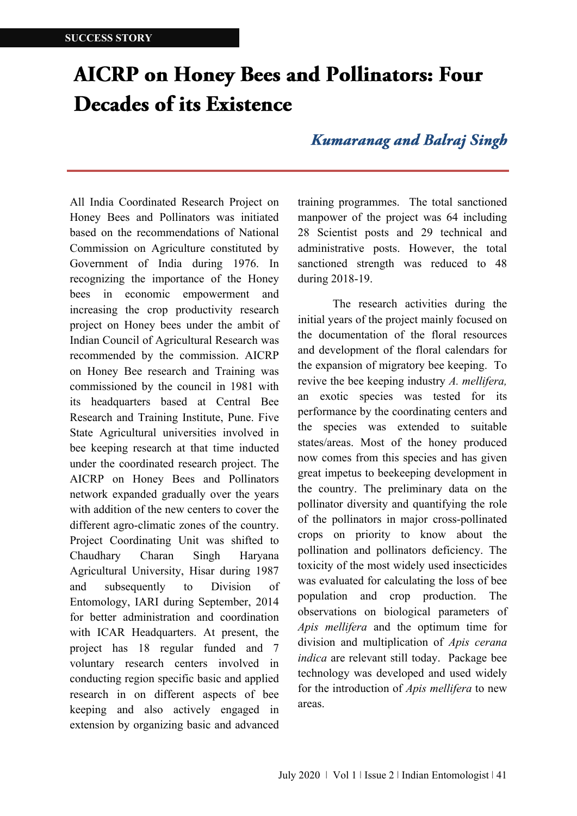## **AICRP** on Honey Bees and Pollinators: Four **Decades of its Existence**

## **Kumaranag and Balraj Singh**

All India Coordinated Research Project on Honey Bees and Pollinators was initiated based on the recommendations of National Commission on Agriculture constituted by Government of India during 1976. In recognizing the importance of the Honey bees in economic empowerment and increasing the crop productivity research project on Honey bees under the ambit of Indian Council of Agricultural Research was recommended by the commission. AICRP on Honey Bee research and Training was commissioned by the council in 1981 with its headquarters based at Central Bee Research and Training Institute, Pune. Five State Agricultural universities involved in bee keeping research at that time inducted under the coordinated research project. The AICRP on Honey Bees and Pollinators network expanded gradually over the years with addition of the new centers to cover the different agro-climatic zones of the country. Project Coordinating Unit was shifted to Chaudhary Charan Singh Haryana Agricultural University, Hisar during 1987 and subsequently to Division of Entomology, IARI during September, 2014 for better administration and coordination with ICAR Headquarters. At present, the project has 18 regular funded and 7 voluntary research centers involved in conducting region specific basic and applied research in on different aspects of bee keeping and also actively engaged in extension by organizing basic and advanced

training programmes. The total sanctioned manpower of the project was 64 including 28 Scientist posts and 29 technical and administrative posts. However, the total sanctioned strength was reduced to 48 during 2018-19.

The research activities during the initial years of the project mainly focused on the documentation of the floral resources and development of the floral calendars for the expansion of migratory bee keeping. To revive the bee keeping industry *A. mellifera,*  an exotic species was tested for its performance by the coordinating centers and the species was extended to suitable states/areas. Most of the honey produced now comes from this species and has given great impetus to beekeeping development in the country. The preliminary data on the pollinator diversity and quantifying the role of the pollinators in major cross-pollinated crops on priority to know about the pollination and pollinators deficiency. The toxicity of the most widely used insecticides was evaluated for calculating the loss of bee population and crop production. The observations on biological parameters of *Apis mellifera* and the optimum time for division and multiplication of *Apis cerana indica* are relevant still today. Package bee technology was developed and used widely for the introduction of *Apis mellifera* to new areas.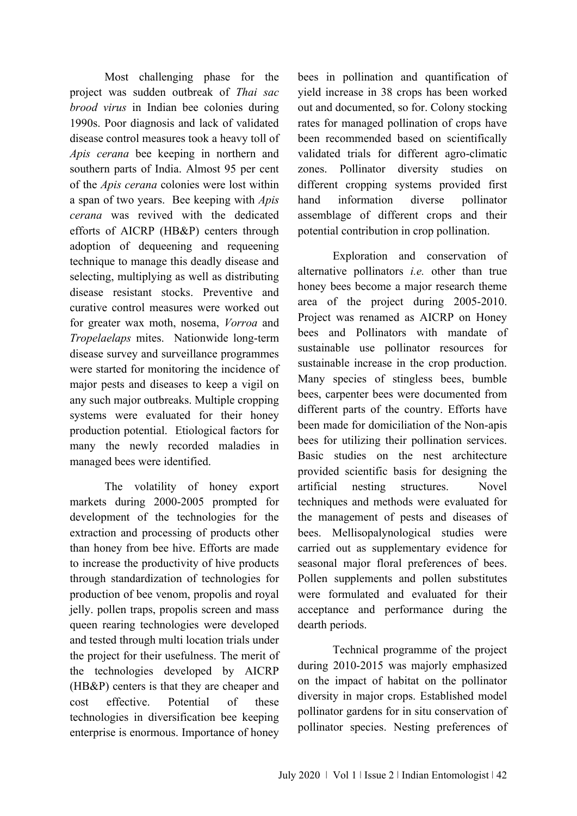Most challenging phase for the project was sudden outbreak of *Thai sac brood virus* in Indian bee colonies during 1990s. Poor diagnosis and lack of validated disease control measures took a heavy toll of *Apis cerana* bee keeping in northern and southern parts of India. Almost 95 per cent of the *Apis cerana* colonies were lost within a span of two years. Bee keeping with *Apis cerana* was revived with the dedicated efforts of AICRP (HB&P) centers through adoption of dequeening and requeening technique to manage this deadly disease and selecting, multiplying as well as distributing disease resistant stocks. Preventive and curative control measures were worked out for greater wax moth, nosema, *Vorroa* and *Tropelaelaps* mites. Nationwide long-term disease survey and surveillance programmes were started for monitoring the incidence of major pests and diseases to keep a vigil on any such major outbreaks. Multiple cropping systems were evaluated for their honey production potential. Etiological factors for many the newly recorded maladies in managed bees were identified.

The volatility of honey export markets during 2000-2005 prompted for development of the technologies for the extraction and processing of products other than honey from bee hive. Efforts are made to increase the productivity of hive products through standardization of technologies for production of bee venom, propolis and royal jelly. pollen traps, propolis screen and mass queen rearing technologies were developed and tested through multi location trials under the project for their usefulness. The merit of the technologies developed by AICRP (HB&P) centers is that they are cheaper and cost effective. Potential of these technologies in diversification bee keeping enterprise is enormous. Importance of honey bees in pollination and quantification of yield increase in 38 crops has been worked out and documented, so for. Colony stocking rates for managed pollination of crops have been recommended based on scientifically validated trials for different agro-climatic zones. Pollinator diversity studies on different cropping systems provided first hand information diverse pollinator assemblage of different crops and their potential contribution in crop pollination.

Exploration and conservation of alternative pollinators *i.e.* other than true honey bees become a major research theme area of the project during 2005-2010. Project was renamed as AICRP on Honey bees and Pollinators with mandate of sustainable use pollinator resources for sustainable increase in the crop production. Many species of stingless bees, bumble bees, carpenter bees were documented from different parts of the country. Efforts have been made for domiciliation of the Non-apis bees for utilizing their pollination services. Basic studies on the nest architecture provided scientific basis for designing the artificial nesting structures. Novel techniques and methods were evaluated for the management of pests and diseases of bees. Mellisopalynological studies were carried out as supplementary evidence for seasonal major floral preferences of bees. Pollen supplements and pollen substitutes were formulated and evaluated for their acceptance and performance during the dearth periods.

Technical programme of the project during 2010-2015 was majorly emphasized on the impact of habitat on the pollinator diversity in major crops. Established model pollinator gardens for in situ conservation of pollinator species. Nesting preferences of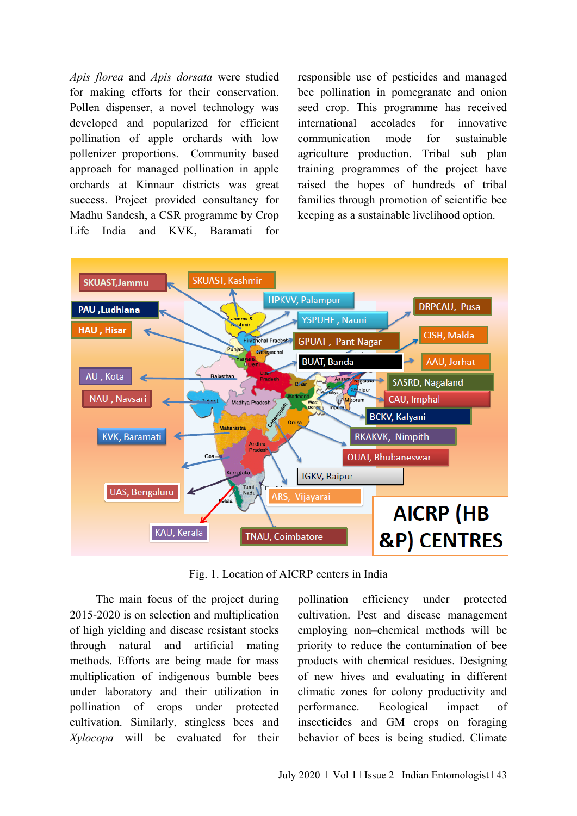*Apis florea* and *Apis dorsata* were studied for making efforts for their conservation. Pollen dispenser, a novel technology was developed and popularized for efficient pollination of apple orchards with low pollenizer proportions. Community based approach for managed pollination in apple orchards at Kinnaur districts was great success. Project provided consultancy for Madhu Sandesh, a CSR programme by Crop Life India and KVK, Baramati for responsible use of pesticides and managed bee pollination in pomegranate and onion seed crop. This programme has received international accolades for innovative communication mode for sustainable agriculture production. Tribal sub plan training programmes of the project have raised the hopes of hundreds of tribal families through promotion of scientific bee keeping as a sustainable livelihood option.



Fig. 1. Location of AICRP centers in India

 The main focus of the project during 2015-2020 is on selection and multiplication of high yielding and disease resistant stocks through natural and artificial mating methods. Efforts are being made for mass multiplication of indigenous bumble bees under laboratory and their utilization in pollination of crops under protected cultivation. Similarly, stingless bees and *Xylocopa* will be evaluated for their pollination efficiency under protected cultivation. Pest and disease management employing non–chemical methods will be priority to reduce the contamination of bee products with chemical residues. Designing of new hives and evaluating in different climatic zones for colony productivity and performance. Ecological impact of insecticides and GM crops on foraging behavior of bees is being studied. Climate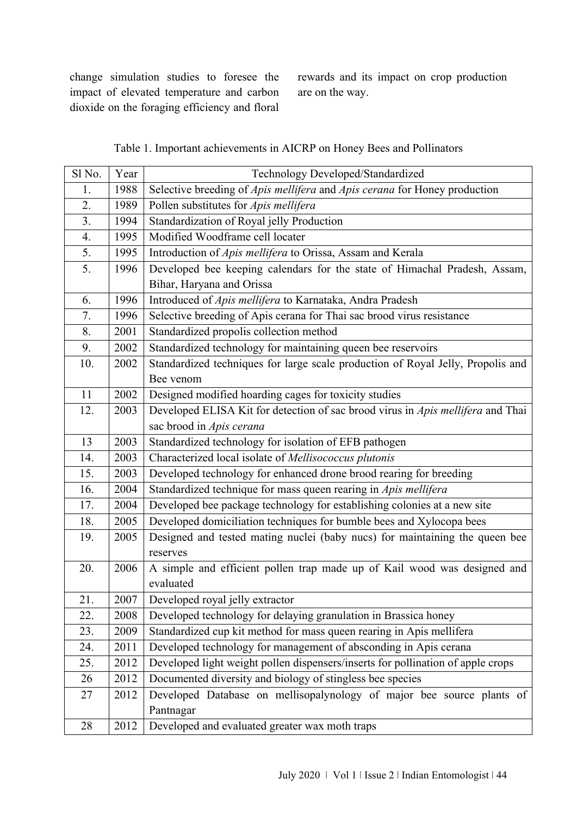change simulation studies to foresee the impact of elevated temperature and carbon dioxide on the foraging efficiency and floral

rewards and its impact on crop production are on the way.

## Table 1. Important achievements in AICRP on Honey Bees and Pollinators

| Sl No. | Year | Technology Developed/Standardized                                               |
|--------|------|---------------------------------------------------------------------------------|
| 1.     | 1988 | Selective breeding of Apis mellifera and Apis cerana for Honey production       |
| 2.     | 1989 | Pollen substitutes for Apis mellifera                                           |
| 3.     | 1994 | Standardization of Royal jelly Production                                       |
| 4.     | 1995 | Modified Woodframe cell locater                                                 |
| 5.     | 1995 | Introduction of Apis mellifera to Orissa, Assam and Kerala                      |
| 5.     | 1996 | Developed bee keeping calendars for the state of Himachal Pradesh, Assam,       |
|        |      | Bihar, Haryana and Orissa                                                       |
| 6.     | 1996 | Introduced of Apis mellifera to Karnataka, Andra Pradesh                        |
| 7.     | 1996 | Selective breeding of Apis cerana for Thai sac brood virus resistance           |
| 8.     | 2001 | Standardized propolis collection method                                         |
| 9.     | 2002 | Standardized technology for maintaining queen bee reservoirs                    |
| 10.    | 2002 | Standardized techniques for large scale production of Royal Jelly, Propolis and |
|        |      | Bee venom                                                                       |
| 11     | 2002 | Designed modified hoarding cages for toxicity studies                           |
| 12.    | 2003 | Developed ELISA Kit for detection of sac brood virus in Apis mellifera and Thai |
|        |      | sac brood in Apis cerana                                                        |
| 13     | 2003 | Standardized technology for isolation of EFB pathogen                           |
| 14.    | 2003 | Characterized local isolate of Mellisococcus plutonis                           |
| 15.    | 2003 | Developed technology for enhanced drone brood rearing for breeding              |
| 16.    | 2004 | Standardized technique for mass queen rearing in Apis mellifera                 |
| 17.    | 2004 | Developed bee package technology for establishing colonies at a new site        |
| 18.    | 2005 | Developed domiciliation techniques for bumble bees and Xylocopa bees            |
| 19.    | 2005 | Designed and tested mating nuclei (baby nucs) for maintaining the queen bee     |
|        |      | reserves                                                                        |
| 20.    | 2006 | A simple and efficient pollen trap made up of Kail wood was designed and        |
|        |      | evaluated                                                                       |
| 21.    | 2007 | Developed royal jelly extractor                                                 |
| 22.    | 2008 | Developed technology for delaying granulation in Brassica honey                 |
| 23.    | 2009 | Standardized cup kit method for mass queen rearing in Apis mellifera            |
| 24.    | 2011 | Developed technology for management of absconding in Apis cerana                |
| 25.    | 2012 | Developed light weight pollen dispensers/inserts for pollination of apple crops |
| 26     | 2012 | Documented diversity and biology of stingless bee species                       |
| 27     | 2012 | Developed Database on mellisopalynology of major bee source plants of           |
|        |      | Pantnagar                                                                       |
| 28     | 2012 | Developed and evaluated greater wax moth traps                                  |